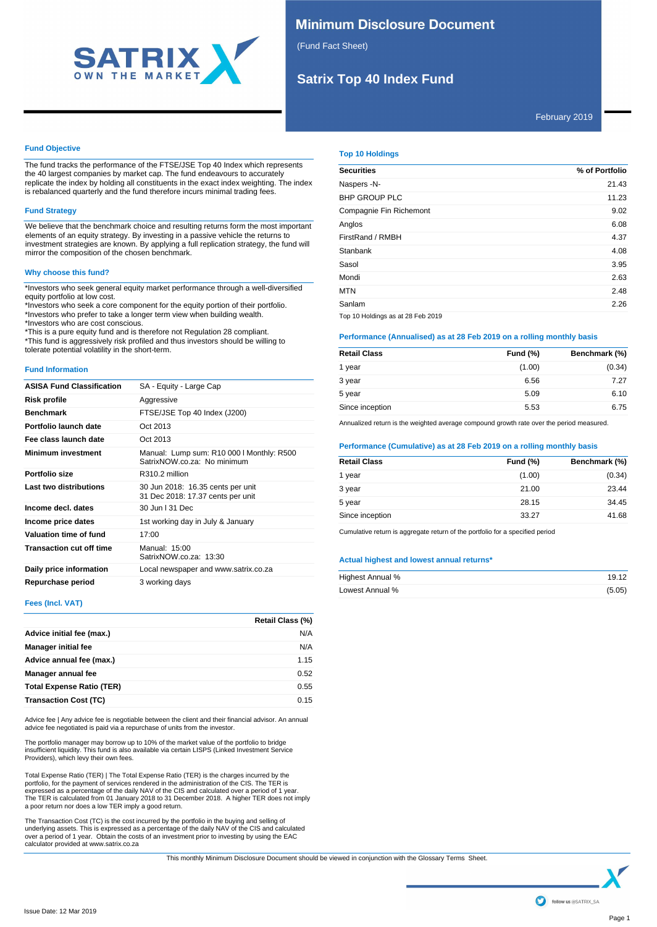

# **Minimum Disclosure Document**

(Fund Fact Sheet)

# **Satrix Top 40 Index Fund**

February 2019

## **Fund Objective**

The fund tracks the performance of the FTSE/JSE Top 40 Index which represents the 40 largest companies by market cap. The fund endeavours to accurately replicate the index by holding all constituents in the exact index weighting. The index replicate the index by holding all constituents in the exact index weighting. The index is rebalanced quarterly and the fund therefore incurs minimal trading fees.

## **Fund Strategy**

We believe that the benchmark choice and resulting returns form the most important elements of an equity strategy. By investing in a passive vehicle the returns to investment strategies are known. By applying a full replication strategy, the fund will mirror the composition of the chosen benchmark.

### **Why choose this fund?**

\*Investors who seek general equity market performance through a well-diversified equity portfolio at low cost.

\*Investors who seek a core component for the equity portion of their portfolio. \*Investors who prefer to take a longer term view when building wealth. \*Investors who are cost conscious.

\*This is a pure equity fund and is therefore not Regulation 28 compliant. \*This fund is aggressively risk profiled and thus investors should be willing to tolerate potential volatility in the short-term.

#### **Fund Information**

| <b>ASISA Fund Classification</b> | SA - Equity - Large Cap                                                  |
|----------------------------------|--------------------------------------------------------------------------|
| Risk profile                     | Aggressive                                                               |
| <b>Benchmark</b>                 | FTSE/JSE Top 40 Index (J200)                                             |
| Portfolio launch date            | Oct 2013                                                                 |
| Fee class launch date            | Oct 2013                                                                 |
| <b>Minimum investment</b>        | Manual: Lump sum: R10 000   Monthly: R500<br>SatrixNOW.co.za: No minimum |
| Portfolio size                   | R310.2 million                                                           |
| Last two distributions           | 30 Jun 2018: 16.35 cents per unit<br>31 Dec 2018: 17.37 cents per unit   |
| Income decl. dates               | 30 Jun   31 Dec                                                          |
| Income price dates               | 1st working day in July & January                                        |
| Valuation time of fund           | 17:00                                                                    |
| <b>Transaction cut off time</b>  | Manual: 15:00<br>SatrixNOW.co.za: 13:30                                  |
| Daily price information          | Local newspaper and www.satrix.co.za                                     |
| Repurchase period                | 3 working days                                                           |

## **Fees (Incl. VAT)**

|                                  | Retail Class (%) |
|----------------------------------|------------------|
| Advice initial fee (max.)        | N/A              |
| <b>Manager initial fee</b>       | N/A              |
| Advice annual fee (max.)         | 1.15             |
| Manager annual fee               | 0.52             |
| <b>Total Expense Ratio (TER)</b> | 0.55             |
| <b>Transaction Cost (TC)</b>     | 0.15             |

Advice fee | Any advice fee is negotiable between the client and their financial advisor. An annual advice fee negotiated is paid via a repurchase of units from the investor.

The portfolio manager may borrow up to 10% of the market value of the portfolio to bridge<br>insufficient liquidity. This fund is also available via certain LISPS (Linked Investment Service<br>Providers), which levy their own fe

Total Expense Ratio (TER) | The Total Expense Ratio (TER) is the charges incurred by the portfolio, for the payment of services rendered in the administration of the CIS. The TER is expressed as a percentage of the daily NAV of the CIS and calculated over a period of 1 year. The TER is calculated from 01 January 2018 to 31 December 2018. A higher TER does not imply a poor return nor does a low TER imply a good return.

The Transaction Cost (TC) is the cost incurred by the portfolio in the buying and selling of<br>underlying assets. This is expressed as a percentage of the daily NAV of the CIS and calculated<br>over a period of 1 year. Obtain t

### **Top 10 Holdings**

| <b>Securities</b>                 | % of Portfolio |
|-----------------------------------|----------------|
| Naspers -N-                       | 21.43          |
| <b>BHP GROUP PLC</b>              | 11.23          |
| Compagnie Fin Richemont           | 9.02           |
| Anglos                            | 6.08           |
| FirstRand / RMBH                  | 4.37           |
| Stanbank                          | 4.08           |
| Sasol                             | 3.95           |
| Mondi                             | 2.63           |
| <b>MTN</b>                        | 2.48           |
| Sanlam                            | 2.26           |
| Top 10 Holdings as at 28 Feb 2019 |                |

## **Performance (Annualised) as at 28 Feb 2019 on a rolling monthly basis**

| <b>Retail Class</b> | <b>Fund (%)</b> | Benchmark (%) |
|---------------------|-----------------|---------------|
| 1 year              | (1.00)          | (0.34)        |
| 3 year              | 6.56            | 7.27          |
| 5 year              | 5.09            | 6.10          |
| Since inception     | 5.53            | 6.75          |

Annualized return is the weighted average compound growth rate over the period measured.

#### **Performance (Cumulative) as at 28 Feb 2019 on a rolling monthly basis**

| <b>Fund (%)</b> | Benchmark (%) |
|-----------------|---------------|
| (1.00)          | (0.34)        |
| 21.00           | 23.44         |
| 28.15           | 34.45         |
| 33.27           | 41.68         |
|                 |               |

Cumulative return is aggregate return of the portfolio for a specified period

#### **Actual highest and lowest annual returns\***

| Highest Annual % | 19.12  |
|------------------|--------|
| Lowest Annual %  | (5.05) |

This monthly Minimum Disclosure Document should be viewed in conjunction with the Glossary Terms Sheet.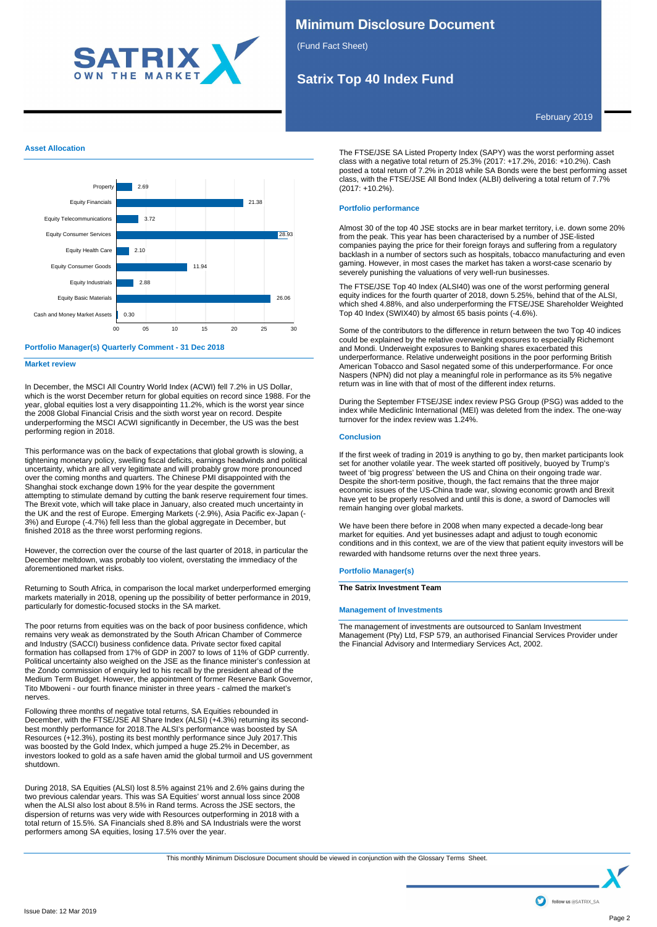

# **Minimum Disclosure Document**

(Fund Fact Sheet)

# **Satrix Top 40 Index Fund**

February 2019

### **Asset Allocation**



#### **Portfolio Manager(s) Quarterly Comment - 31 Dec 2018**

**Market review**

In December, the MSCI All Country World Index (ACWI) fell 7.2% in US Dollar, which is the worst December return for global equities on record since 1988. For the year, global equities lost a very disappointing 11.2%, which is the worst year since the 2008 Global Financial Crisis and the sixth worst year on record. Despite underperforming the MSCI ACWI significantly in December, the US was the best performing region in 2018.

This performance was on the back of expectations that global growth is slowing, a tightening monetary policy, swelling fiscal deficits, earnings headwinds and political uncertainty, which are all very legitimate and will probably grow more pronounced over the coming months and quarters. The Chinese PMI disappointed with the Shanghai stock exchange down 19% for the year despite the government attempting to stimulate demand by cutting the bank reserve requirement four times. The Brexit vote, which will take place in January, also created much uncertainty in the UK and the rest of Europe. Emerging Markets (-2.9%), Asia Pacific ex-Japan (- 3%) and Europe (-4.7%) fell less than the global aggregate in December, but finished 2018 as the three worst performing regions.

However, the correction over the course of the last quarter of 2018, in particular the December meltdown, was probably too violent, overstating the immediacy of the aforementioned market risks.

Returning to South Africa, in comparison the local market underperformed emerging markets materially in 2018, opening up the possibility of better performance in 2019, particularly for domestic-focused stocks in the SA market.

The poor returns from equities was on the back of poor business confidence, which remains very weak as demonstrated by the South African Chamber of Commerce and Industry (SACCI) business confidence data. Private sector fixed capital formation has collapsed from 17% of GDP in 2007 to lows of 11% of GDP currently. Political uncertainty also weighed on the JSE as the finance minister's confession at the Zondo commission of enquiry led to his recall by the president ahead of the Medium Term Budget. However, the appointment of former Reserve Bank Governor, Tito Mboweni - our fourth finance minister in three years - calmed the market's nerves.

Following three months of negative total returns, SA Equities rebounded in December, with the FTSE/JSE All Share Index (ALSI) (+4.3%) returning its secondbest monthly performance for 2018.The ALSI's performance was boosted by SA Resources (+12.3%), posting its best monthly performance since July 2017.This was boosted by the Gold Index, which jumped a huge 25.2% in December, as investors looked to gold as a safe haven amid the global turmoil and US government shutdown.

During 2018, SA Equities (ALSI) lost 8.5% against 21% and 2.6% gains during the two previous calendar years. This was SA Equities' worst annual loss since 2008 when the ALSI also lost about 8.5% in Rand terms. Across the JSE sectors, the dispersion of returns was very wide with Resources outperforming in 2018 with a total return of 15.5%. SA Financials shed 8.8% and SA Industrials were the worst performers among SA equities, losing 17.5% over the year.

The FTSE/JSE SA Listed Property Index (SAPY) was the worst performing asset class with a negative total return of 25.3% (2017: +17.2%, 2016: +10.2%). Cash posted a total return of 7.2% in 2018 while SA Bonds were the best performing asset class, with the FTSE/JSE All Bond Index (ALBI) delivering a total return of 7.7% (2017: +10.2%).

## **Portfolio performance**

Almost 30 of the top 40 JSE stocks are in bear market territory, i.e. down some 20% from the peak. This year has been characterised by a number of JSE-listed companies paying the price for their foreign forays and suffering from a regulatory backlash in a number of sectors such as hospitals, tobacco manufacturing and even gaming. However, in most cases the market has taken a worst-case scenario by severely punishing the valuations of very well-run businesses.

The FTSE/JSE Top 40 Index (ALSI40) was one of the worst performing general equity indices for the fourth quarter of 2018, down 5.25%, behind that of the ALSI, which shed 4.88%, and also underperforming the FTSE/JSE Shareholder Weighted Top 40 Index (SWIX40) by almost 65 basis points (-4.6%).

Some of the contributors to the difference in return between the two Top 40 indices could be explained by the relative overweight exposures to especially Richemont and Mondi. Underweight exposures to Banking shares exacerbated this underperformance. Relative underweight positions in the poor performing British American Tobacco and Sasol negated some of this underperformance. For once Naspers (NPN) did not play a meaningful role in performance as its 5% negative return was in line with that of most of the different index returns.

During the September FTSE/JSE index review PSG Group (PSG) was added to the index while Mediclinic International (MEI) was deleted from the index. The one-way turnover for the index review was 1.24%.

### **Conclusion**

If the first week of trading in 2019 is anything to go by, then market participants look set for another volatile year. The week started off positively, buoyed by Trump's tweet of 'big progress' between the US and China on their ongoing trade war. Despite the short-term positive, though, the fact remains that the three major economic issues of the US-China trade war, slowing economic growth and Brexit have yet to be properly resolved and until this is done, a sword of Damocles will remain hanging over global markets.

We have been there before in 2008 when many expected a decade-long bear market for equities. And yet businesses adapt and adjust to tough economic conditions and in this context, we are of the view that patient equity investors will be rewarded with handsome returns over the next three years.

### **Portfolio Manager(s)**

**The Satrix Investment Team**

#### **Management of Investments**

The management of investments are outsourced to Sanlam Investment Management (Pty) Ltd, FSP 579, an authorised Financial Services Provider under the Financial Advisory and Intermediary Services Act, 2002.

This monthly Minimum Disclosure Document should be viewed in conjunction with the Glossary Terms Sheet.<br>This monthly Minimum Disclosure Document should be viewed in conjunction with the Glossary Terms Sheet.